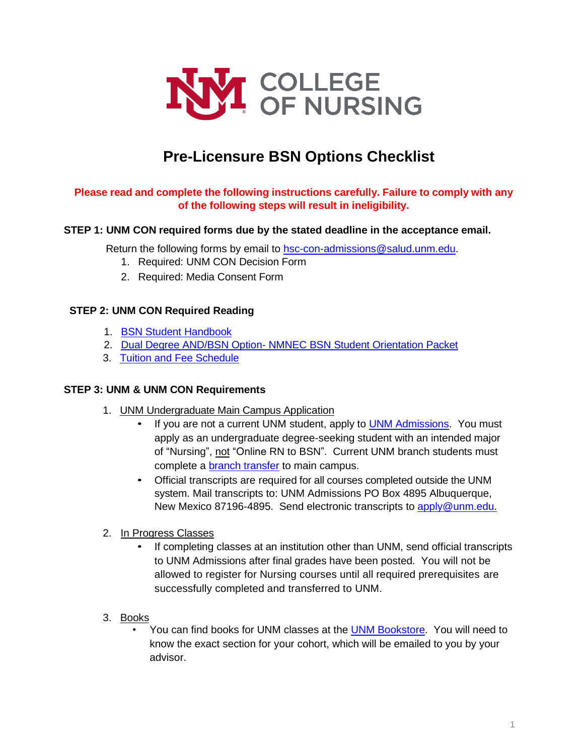

# **Pre-Licensure BSN Options Checklist**

## **Please read and complete the following instructions carefully. Failure to comply with any of the following steps will result in ineligibility.**

#### **STEP 1: UNM CON required forms due by the stated deadline in the acceptance email.**

Return the following forms by email to [hsc-con-admissions@salud.unm.edu.](mailto:hsc-con-admissions@salud.unm.edu)

- 1. Required: UNM CON Decision Form
- 2. Required: Media Consent Form

#### **STEP 2: UNM CON Required Reading**

- 1. [BSN Student](https://hsc.unm.edu/nursing/students/resources/handbook.html) Handbook
- 2. Dual Degree AND/BSN Option- [NMNEC BSN Student Orientation](https://hsc.unm.edu/nursing/students/start/orientation.html) Packet
- 3. [Tuition and Fee](https://hsc.unm.edu/nursing/admissions/tuition.html) Schedule

#### **STEP 3: UNM & UNM CON Requirements**

- 1. UNM Undergraduate Main Campus Application
	- If you are not a current UNM student, apply to UNM [Admissions.](http://www.unm.edu/apply/?utm_medium=redirect&utm_source=apply.unm.edu) You must apply as an undergraduate degree-seeking student with an intended major of "Nursing", not "Online RN to BSN". Current UNM branch students must complete a [branch transfer](http://admissions.unm.edu/future-students/branch-transition.html) to main campus.
	- Official transcripts are required for all courses completed outside the UNM system. Mail transcripts to: UNM Admissions PO Box 4895 Albuquerque, New Mexico 87196-4895. Send electronic transcripts to [apply@unm.edu.](mailto:apply@unm.edu)
- 2. In Progress Classes
	- If completing classes at an institution other than UNM, send official transcripts to UNM Admissions after final grades have been posted. You will not be allowed to register for Nursing courses until all required prerequisites are successfully completed and transferred to UNM.
- 3. Books
	- You can find books for UNM classes at the [UNM Bookstore.](https://bookstore.unm.edu/t-1unm_disclaimer.aspx) You will need to know the exact section for your cohort, which will be emailed to you by your advisor.